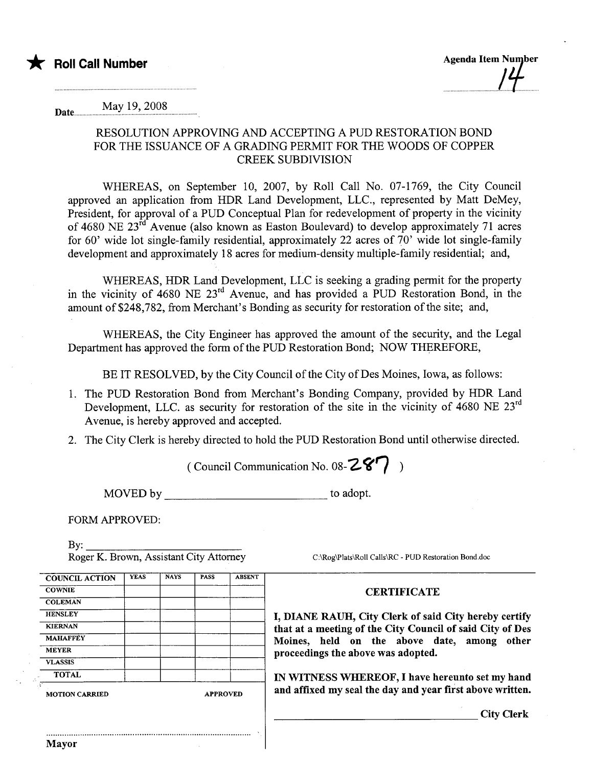

Date.............. May 19, 2008

## RESOLUTION APPROVING AND ACCEPTING A PUD RESTORATION BOND FOR THE ISSUANCE OF A GRADING PERMIT FOR THE WOODS OF COPPER CREEK SUBDIVISION

WHEREAS, on September 10, 2007, by Roll Call No. 07-1769, the City Council approved an application from HDR Land Development, LLC., represented by Matt DeMey, President, for approval of a PUD Conceptual Plan for redevelopment of property in the vicinity of 4680 NE 23<sup>rd</sup> Avenue (also known as Easton Boulevard) to develop approximately 71 acres for 60' wide lot single-family residential, approximately 22 acres of 70' wide lot single-family development and approximately 18 acres for medium-density multiple-family residential; and,

WHEREAS, HDR Land Development, LLC is seeking a grading permit for the property in the vicinity of 4680 NE 23<sup>rd</sup> Avenue, and has provided a PUD Restoration Bond, in the amount of \$248,782, from Merchant's Bonding as security for restoration of the site; and,

WHEREAS, the City Engineer has approved the amount of the security, and the Legal Deparment has approved the form of the PUD Restoration Bond; NOW THEREFORE,

BE IT RESOLVED, by the City Council of the City of Des Moines, Iowa, as follows:

- 1. The PUD Restoration Bond from Merchant's Bonding Company, provided by HDR Land Development, LLC. as security for restoration of the site in the vicinity of 4680 NE 23<sup>rd</sup> Avenue, is hereby approved and accepted.
- 2. The City Clerk is hereby directed to hold the PUD Restoration Bond until otherwise directed.

( Council Communication No. 08- $Z\mathcal{C}$ )

MOVED by to adopt.

.

FORM APPROVED:

By:

Roger K. Brown, Assistant City Attorney C:\Rog\Plats\Roll Calls\RC - PUD Restoration Bond.doc

## COUNCIL ACTION | YEAS | NAYS | PASS | ABSENT COWNIE COWNER CERTIFICATE **COLEMAN** VLASSIS , MOTION CARRIED APPROVED and affixed my seal the day and year first above written.

..........................................................................................

HENSLEY **I, DIANE RAUH, City Clerk of said City hereby certify**<br>KIERNAN that at a mosting of the City Council of said City of Dos KIERNAN that at a meeting of the City Council of said City of Des<br>Moines held on the shows date among other  $MAHAFFEY$  Moines, held on the above date, among other proceedings the above was adopted.

TOTAL **IN WITNESS WHEREOF**, I have hereunto set my hand

City Clerk

Mayor